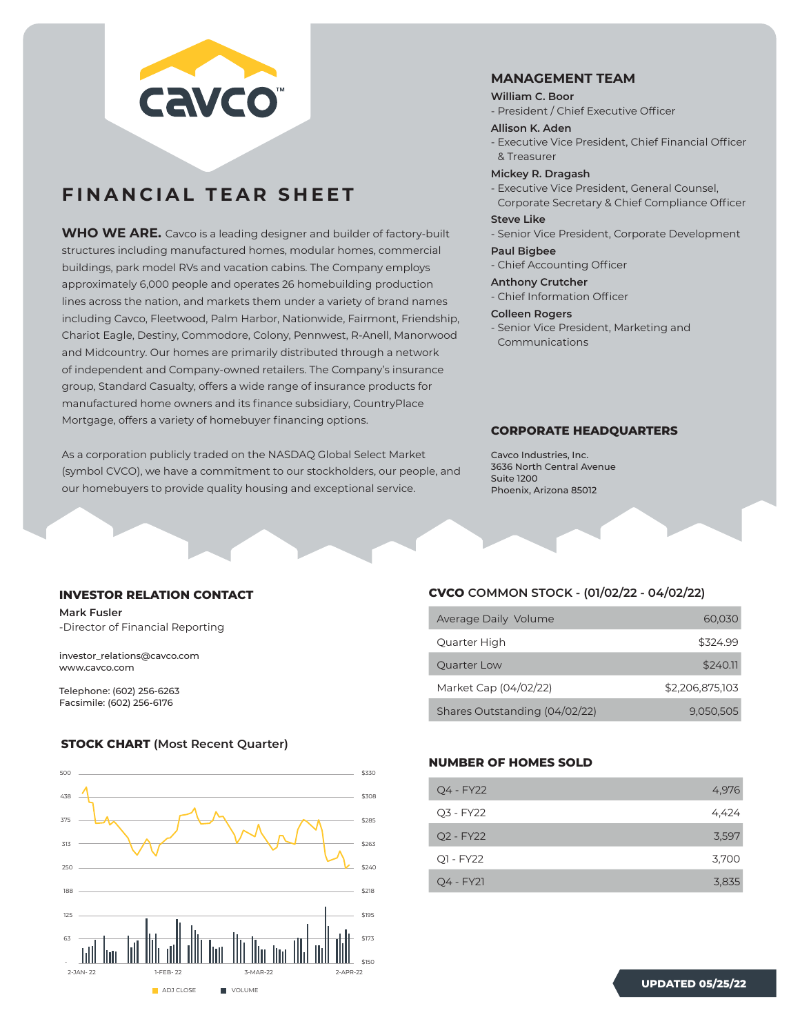

## **FINANCIAL TEAR SHEET**

**WHO WE ARE.** Cavco is a leading designer and builder of factory-built structures including manufactured homes, modular homes, commercial buildings, park model RVs and vacation cabins. The Company employs approximately 6,000 people and operates 26 homebuilding production lines across the nation, and markets them under a variety of brand names including Cavco, Fleetwood, Palm Harbor, Nationwide, Fairmont, Friendship, Chariot Eagle, Destiny, Commodore, Colony, Pennwest, R-Anell, Manorwood and Midcountry. Our homes are primarily distributed through a network of independent and Company-owned retailers. The Company's insurance group, Standard Casualty, offers a wide range of insurance products for manufactured home owners and its finance subsidiary, CountryPlace Mortgage, offers a variety of homebuyer financing options.

As a corporation publicly traded on the NASDAQ Global Select Market (symbol CVCO), we have a commitment to our stockholders, our people, and our homebuyers to provide quality housing and exceptional service.

## **MANAGEMENT TEAM**

#### **William C. Boor**

- President / Chief Executive Officer

#### **Allison K. Aden**

- Executive Vice President, Chief Financial Officer & Treasurer

## **Mickey R. Dragash**

- Executive Vice President, General Counsel, Corporate Secretary & Chief Compliance Officer

## **Steve Like**

- Senior Vice President, Corporate Development

#### **Paul Bigbee**

- Chief Accounting Officer

#### **Anthony Crutcher**

- Chief Information Officer

#### **Colleen Rogers**

- Senior Vice President, Marketing and Communications

## **CORPORATE HEADQUARTERS**

Cavco Industries, Inc. 3636 North Central Avenue Suite 1200 Phoenix, Arizona 85012

#### **INVESTOR RELATION CONTACT**

**Mark Fusler** -Director of Financial Reporting

investor\_relations@cavco.com www.cavco.com

Telephone: (602) 256-6263 Facsimile: (602) 256-6176

## **STOCK CHART (Most Recent Quarter)**



## **CVCO COMMON STOCK - (01/02/22 - 04/02/22)**

| Average Daily Volume          | 60,030          |
|-------------------------------|-----------------|
| Quarter High                  | \$324.99        |
| Quarter Low                   | \$240.11        |
| Market Cap (04/02/22)         | \$2,206,875,103 |
| Shares Outstanding (04/02/22) | 9.050.505       |

## **NUMBER OF HOMES SOLD**

| Q4 - FY22   | 4,976 |
|-------------|-------|
| Q3 - FY22   | 4,424 |
| Q2 - FY22   | 3,597 |
| Q1 - FY22   | 3,700 |
| $Q4 - FY21$ | 3,835 |